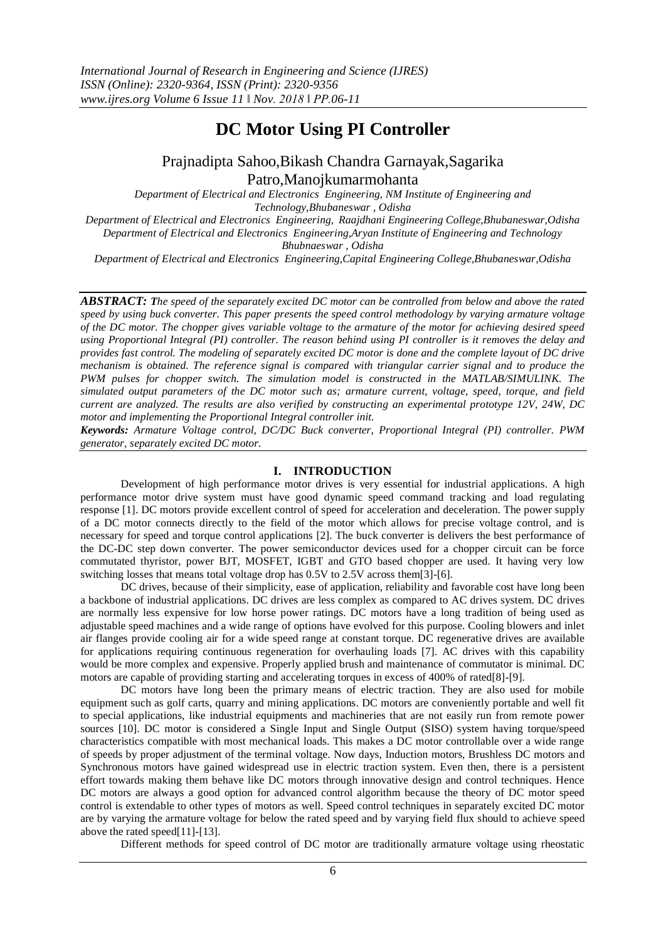# **DC Motor Using PI Controller**

# Prajnadipta Sahoo,Bikash Chandra Garnayak,Sagarika Patro,Manojkumarmohanta

*Department of Electrical and Electronics Engineering, NM Institute of Engineering and Technology,Bhubaneswar , Odisha Department of Electrical and Electronics Engineering, Raajdhani Engineering College,Bhubaneswar,Odisha Department of Electrical and Electronics Engineering,Aryan Institute of Engineering and Technology Bhubnaeswar , Odisha*

*Department of Electrical and Electronics Engineering,Capital Engineering College,Bhubaneswar,Odisha*

*ABSTRACT: The speed of the separately excited DC motor can be controlled from below and above the rated speed by using buck converter. This paper presents the speed control methodology by varying armature voltage of the DC motor. The chopper gives variable voltage to the armature of the motor for achieving desired speed using Proportional Integral (PI) controller. The reason behind using PI controller is it removes the delay and provides fast control. The modeling of separately excited DC motor is done and the complete layout of DC drive mechanism is obtained. The reference signal is compared with triangular carrier signal and to produce the PWM pulses for chopper switch. The simulation model is constructed in the MATLAB/SIMULINK. The simulated output parameters of the DC motor such as; armature current, voltage, speed, torque, and field current are analyzed. The results are also verified by constructing an experimental prototype 12V, 24W, DC motor and implementing the Proportional Integral controller init.*

*Keywords: Armature Voltage control, DC/DC Buck converter, Proportional Integral (PI) controller. PWM generator, separately excited DC motor.*

# **I. INTRODUCTION**

Development of high performance motor drives is very essential for industrial applications. A high performance motor drive system must have good dynamic speed command tracking and load regulating response [1]. DC motors provide excellent control of speed for acceleration and deceleration. The power supply of a DC motor connects directly to the field of the motor which allows for precise voltage control, and is necessary for speed and torque control applications [2]. The buck converter is delivers the best performance of the DC-DC step down converter. The power semiconductor devices used for a chopper circuit can be force commutated thyristor, power BJT, MOSFET, IGBT and GTO based chopper are used. It having very low switching losses that means total voltage drop has 0.5V to 2.5V across them[3]-[6].

DC drives, because of their simplicity, ease of application, reliability and favorable cost have long been a backbone of industrial applications. DC drives are less complex as compared to AC drives system. DC drives are normally less expensive for low horse power ratings. DC motors have a long tradition of being used as adjustable speed machines and a wide range of options have evolved for this purpose. Cooling blowers and inlet air flanges provide cooling air for a wide speed range at constant torque. DC regenerative drives are available for applications requiring continuous regeneration for overhauling loads [7]. AC drives with this capability would be more complex and expensive. Properly applied brush and maintenance of commutator is minimal. DC motors are capable of providing starting and accelerating torques in excess of 400% of rated[8]-[9].

DC motors have long been the primary means of electric traction. They are also used for mobile equipment such as golf carts, quarry and mining applications. DC motors are conveniently portable and well fit to special applications, like industrial equipments and machineries that are not easily run from remote power sources [10]. DC motor is considered a Single Input and Single Output (SISO) system having torque/speed characteristics compatible with most mechanical loads. This makes a DC motor controllable over a wide range of speeds by proper adjustment of the terminal voltage. Now days, Induction motors, Brushless DC motors and Synchronous motors have gained widespread use in electric traction system. Even then, there is a persistent effort towards making them behave like DC motors through innovative design and control techniques. Hence DC motors are always a good option for advanced control algorithm because the theory of DC motor speed control is extendable to other types of motors as well. Speed control techniques in separately excited DC motor are by varying the armature voltage for below the rated speed and by varying field flux should to achieve speed above the rated speed[11]-[13].

Different methods for speed control of DC motor are traditionally armature voltage using rheostatic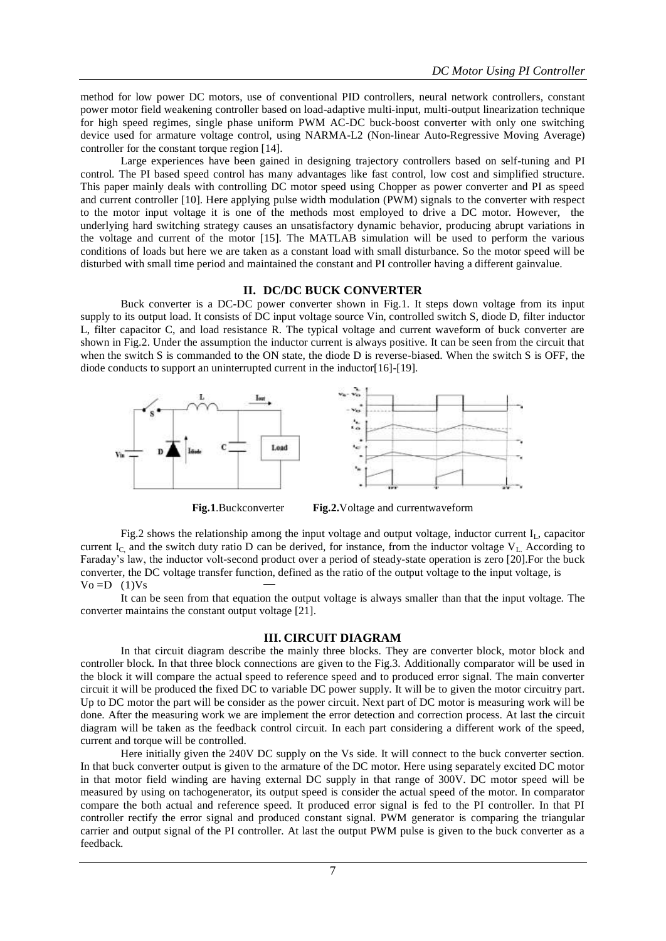method for low power DC motors, use of conventional PID controllers, neural network controllers, constant power motor field weakening controller based on load-adaptive multi-input, multi-output linearization technique for high speed regimes, single phase uniform PWM AC-DC buck-boost converter with only one switching device used for armature voltage control, using NARMA-L2 (Non-linear Auto-Regressive Moving Average) controller for the constant torque region [14].

Large experiences have been gained in designing trajectory controllers based on self-tuning and PI control. The PI based speed control has many advantages like fast control, low cost and simplified structure. This paper mainly deals with controlling DC motor speed using Chopper as power converter and PI as speed and current controller [10]. Here applying pulse width modulation (PWM) signals to the converter with respect to the motor input voltage it is one of the methods most employed to drive a DC motor. However, the underlying hard switching strategy causes an unsatisfactory dynamic behavior, producing abrupt variations in the voltage and current of the motor [15]. The MATLAB simulation will be used to perform the various conditions of loads but here we are taken as a constant load with small disturbance. So the motor speed will be disturbed with small time period and maintained the constant and PI controller having a different gainvalue.

#### **II. DC/DC BUCK CONVERTER**

Buck converter is a DC-DC power converter shown in Fig.1. It steps down voltage from its input supply to its output load. It consists of DC input voltage source Vin, controlled switch S, diode D, filter inductor L, filter capacitor C, and load resistance R. The typical voltage and current waveform of buck converter are shown in Fig.2. Under the assumption the inductor current is always positive. It can be seen from the circuit that when the switch S is commanded to the ON state, the diode D is reverse-biased. When the switch S is OFF, the diode conducts to support an uninterrupted current in the inductor[16]-[19].



**Fig.1**.Buckconverter **Fig.2.**Voltage and currentwaveform

Fig.2 shows the relationship among the input voltage and output voltage, inductor current I<sub>L</sub>, capacitor current I<sub>C</sub> and the switch duty ratio D can be derived, for instance, from the inductor voltage  $V_{L}$  According to Faraday's law, the inductor volt-second product over a period of steady-state operation is zero [20].For the buck converter, the DC voltage transfer function, defined as the ratio of the output voltage to the input voltage, is  $Vo = D$  (1) $Vs$ 

It can be seen from that equation the output voltage is always smaller than that the input voltage. The converter maintains the constant output voltage [21].

#### **III. CIRCUIT DIAGRAM**

In that circuit diagram describe the mainly three blocks. They are converter block, motor block and controller block. In that three block connections are given to the Fig.3. Additionally comparator will be used in the block it will compare the actual speed to reference speed and to produced error signal. The main converter circuit it will be produced the fixed DC to variable DC power supply. It will be to given the motor circuitry part. Up to DC motor the part will be consider as the power circuit. Next part of DC motor is measuring work will be done. After the measuring work we are implement the error detection and correction process. At last the circuit diagram will be taken as the feedback control circuit. In each part considering a different work of the speed, current and torque will be controlled.

Here initially given the 240V DC supply on the Vs side. It will connect to the buck converter section. In that buck converter output is given to the armature of the DC motor. Here using separately excited DC motor in that motor field winding are having external DC supply in that range of 300V. DC motor speed will be measured by using on tachogenerator, its output speed is consider the actual speed of the motor. In comparator compare the both actual and reference speed. It produced error signal is fed to the PI controller. In that PI controller rectify the error signal and produced constant signal. PWM generator is comparing the triangular carrier and output signal of the PI controller. At last the output PWM pulse is given to the buck converter as a feedback.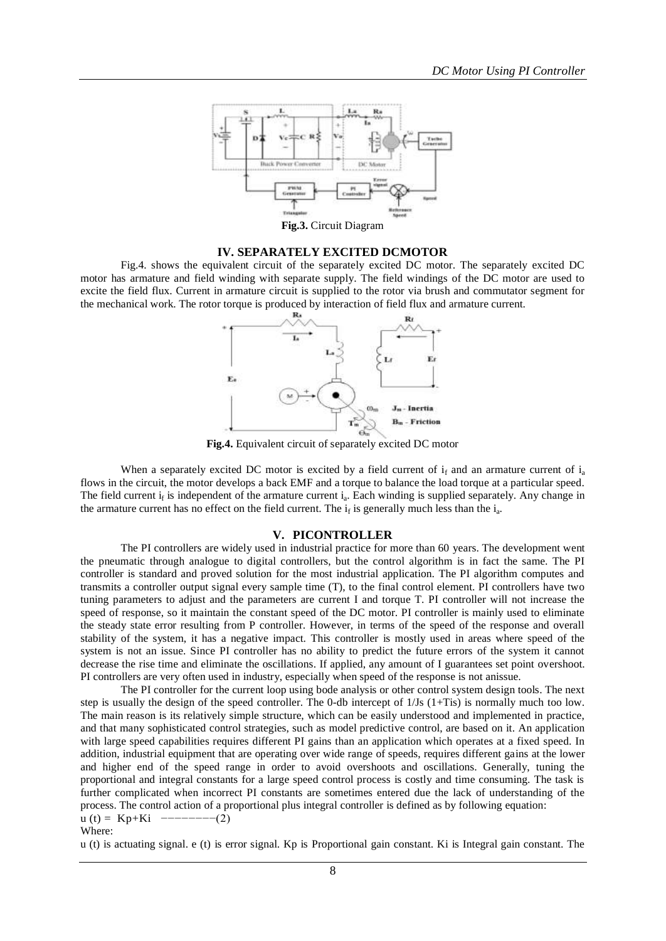

# **IV. SEPARATELY EXCITED DCMOTOR**

Fig.4. shows the equivalent circuit of the separately excited DC motor. The separately excited DC motor has armature and field winding with separate supply. The field windings of the DC motor are used to excite the field flux. Current in armature circuit is supplied to the rotor via brush and commutator segment for the mechanical work. The rotor torque is produced by interaction of field flux and armature current.



**Fig.4.** Equivalent circuit of separately excited DC motor

When a separately excited DC motor is excited by a field current of  $i_f$  and an armature current of  $i_a$ flows in the circuit, the motor develops a back EMF and a torque to balance the load torque at a particular speed. The field current  $i_f$  is independent of the armature current  $i_a$ . Each winding is supplied separately. Any change in the armature current has no effect on the field current. The  $i_f$  is generally much less than the  $i_a$ .

#### **V. PICONTROLLER**

The PI controllers are widely used in industrial practice for more than 60 years. The development went the pneumatic through analogue to digital controllers, but the control algorithm is in fact the same. The PI controller is standard and proved solution for the most industrial application. The PI algorithm computes and transmits a controller output signal every sample time (T), to the final control element. PI controllers have two tuning parameters to adjust and the parameters are current I and torque T. PI controller will not increase the speed of response, so it maintain the constant speed of the DC motor. PI controller is mainly used to eliminate the steady state error resulting from P controller. However, in terms of the speed of the response and overall stability of the system, it has a negative impact. This controller is mostly used in areas where speed of the system is not an issue. Since PI controller has no ability to predict the future errors of the system it cannot decrease the rise time and eliminate the oscillations. If applied, any amount of I guarantees set point overshoot. PI controllers are very often used in industry, especially when speed of the response is not anissue.

The PI controller for the current loop using bode analysis or other control system design tools. The next step is usually the design of the speed controller. The 0-db intercept of 1/Js (1+Tis) is normally much too low. The main reason is its relatively simple structure, which can be easily understood and implemented in practice, and that many sophisticated control strategies, such as model predictive control, are based on it. An application with large speed capabilities requires different PI gains than an application which operates at a fixed speed. In addition, industrial equipment that are operating over wide range of speeds, requires different gains at the lower and higher end of the speed range in order to avoid overshoots and oscillations. Generally, tuning the proportional and integral constants for a large speed control process is costly and time consuming. The task is further complicated when incorrect PI constants are sometimes entered due the lack of understanding of the process. The control action of a proportional plus integral controller is defined as by following equation:  $u(t) = Kp+Ki$  ---------(2) Where:

u (t) is actuating signal. e (t) is error signal. Kp is Proportional gain constant. Ki is Integral gain constant. The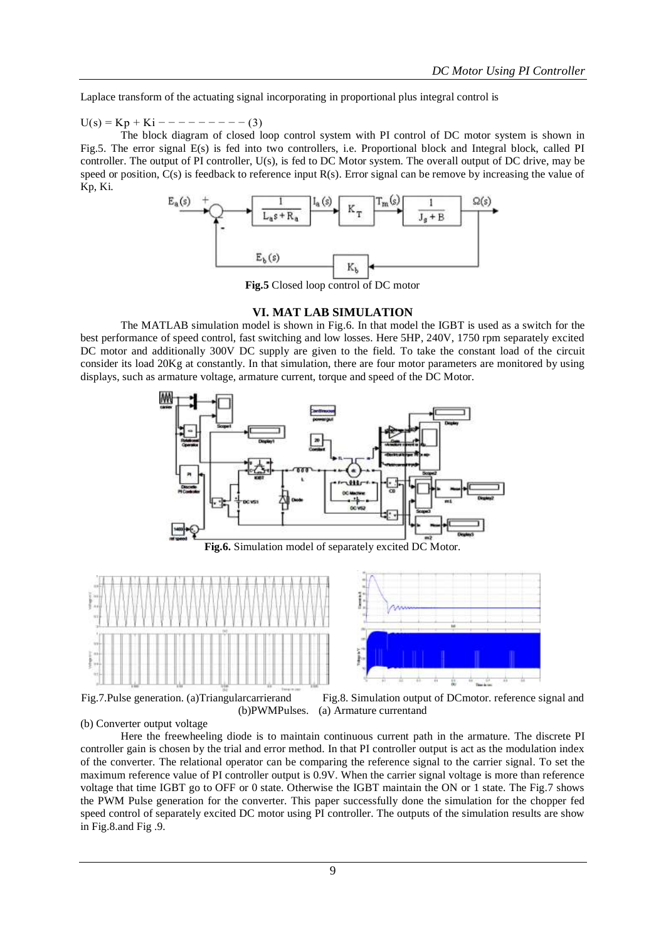Laplace transform of the actuating signal incorporating in proportional plus integral control is

 $U(s) = Kp + Ki - - - - - - - - (3)$ 

The block diagram of closed loop control system with PI control of DC motor system is shown in Fig.5. The error signal E(s) is fed into two controllers, i.e. Proportional block and Integral block, called PI controller. The output of PI controller, U(s), is fed to DC Motor system. The overall output of DC drive, may be speed or position,  $C(s)$  is feedback to reference input  $R(s)$ . Error signal can be remove by increasing the value of Kp, Ki.



**Fig.5** Closed loop control of DC motor

# **VI. MAT LAB SIMULATION**

The MATLAB simulation model is shown in Fig.6. In that model the IGBT is used as a switch for the best performance of speed control, fast switching and low losses. Here 5HP, 240V, 1750 rpm separately excited DC motor and additionally 300V DC supply are given to the field. To take the constant load of the circuit consider its load 20Kg at constantly. In that simulation, there are four motor parameters are monitored by using displays, such as armature voltage, armature current, torque and speed of the DC Motor.



Fig.7.Pulse generation. (a)Triangularcarrierand Fig.8. Simulation output of DCmotor. reference signal and (b)PWMPulses. (a) Armature currentand

(b) Converter output voltage

Here the freewheeling diode is to maintain continuous current path in the armature. The discrete PI controller gain is chosen by the trial and error method. In that PI controller output is act as the modulation index of the converter. The relational operator can be comparing the reference signal to the carrier signal. To set the maximum reference value of PI controller output is 0.9V. When the carrier signal voltage is more than reference voltage that time IGBT go to OFF or 0 state. Otherwise the IGBT maintain the ON or 1 state. The Fig.7 shows the PWM Pulse generation for the converter. This paper successfully done the simulation for the chopper fed speed control of separately excited DC motor using PI controller. The outputs of the simulation results are show in Fig.8.and Fig .9.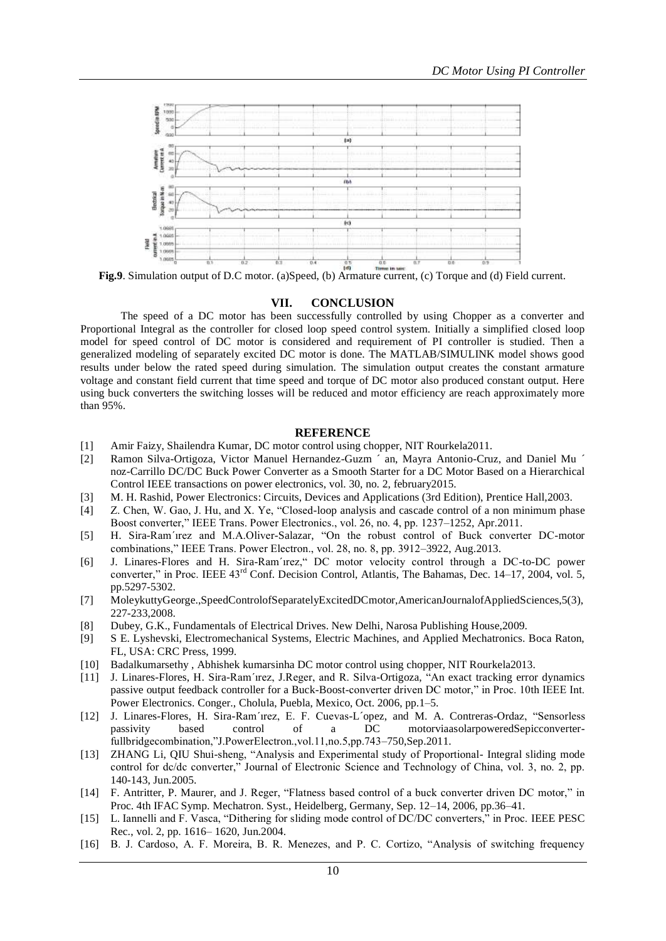

**Fig.9.** Simulation output of D.C motor. (a)Speed, (b) Armature current, (c) Torque and (d) Field current.

# **VII. CONCLUSION**

The speed of a DC motor has been successfully controlled by using Chopper as a converter and Proportional Integral as the controller for closed loop speed control system. Initially a simplified closed loop model for speed control of DC motor is considered and requirement of PI controller is studied. Then a generalized modeling of separately excited DC motor is done. The MATLAB/SIMULINK model shows good results under below the rated speed during simulation. The simulation output creates the constant armature voltage and constant field current that time speed and torque of DC motor also produced constant output. Here using buck converters the switching losses will be reduced and motor efficiency are reach approximately more than 95%.

#### **REFERENCE**

- [1] Amir Faizy, Shailendra Kumar, DC motor control using chopper, NIT Rourkela2011.
- [2] Ramon Silva-Ortigoza, Victor Manuel Hernandez-Guzm ´ an, Mayra Antonio-Cruz, and Daniel Mu ´ noz-Carrillo DC/DC Buck Power Converter as a Smooth Starter for a DC Motor Based on a Hierarchical Control IEEE transactions on power electronics, vol. 30, no. 2, february2015.
- [3] M. H. Rashid, Power Electronics: Circuits, Devices and Applications (3rd Edition), Prentice Hall,2003.
- [4] Z. Chen, W. Gao, J. Hu, and X. Ye, "Closed-loop analysis and cascade control of a non minimum phase Boost converter," IEEE Trans. Power Electronics., vol. 26, no. 4, pp. 1237–1252, Apr.2011.
- [5] H. Sira-Ram´ırez and M.A.Oliver-Salazar, "On the robust control of Buck converter DC-motor combinations," IEEE Trans. Power Electron., vol. 28, no. 8, pp. 3912–3922, Aug.2013.
- [6] J. Linares-Flores and H. Sira-Ram´ırez," DC motor velocity control through a DC-to-DC power converter," in Proc. IEEE  $43<sup>rd</sup>$  Conf. Decision Control, Atlantis, The Bahamas, Dec.  $14-17$ , 2004, vol. 5, pp.5297-5302.
- [7] MoleykuttyGeorge.,SpeedControlofSeparatelyExcitedDCmotor,AmericanJournalofAppliedSciences,5(3), 227-233,2008.
- [8] Dubey, G.K., Fundamentals of Electrical Drives. New Delhi, Narosa Publishing House,2009.
- [9] S E. Lyshevski, Electromechanical Systems, Electric Machines, and Applied Mechatronics. Boca Raton, FL, USA: CRC Press, 1999.
- [10] Badalkumarsethy , Abhishek kumarsinha DC motor control using chopper, NIT Rourkela2013.
- [11] J. Linares-Flores, H. Sira-Ram´ırez, J.Reger, and R. Silva-Ortigoza, "An exact tracking error dynamics passive output feedback controller for a Buck-Boost-converter driven DC motor," in Proc. 10th IEEE Int. Power Electronics. Conger., Cholula, Puebla, Mexico, Oct. 2006, pp.1–5.
- [12] J. Linares-Flores, H. Sira-Ram´ırez, E. F. Cuevas-L´opez, and M. A. Contreras-Ordaz, "Sensorless passivity based control of a DC motorviaasolarpoweredSepicconverterfullbridgecombination,"J.PowerElectron.,vol.11,no.5,pp.743–750,Sep.2011.
- [13] ZHANG Li, QIU Shui-sheng, "Analysis and Experimental study of Proportional- Integral sliding mode control for dc/dc converter," Journal of Electronic Science and Technology of China, vol. 3, no. 2, pp. 140-143, Jun.2005.
- [14] F. Antritter, P. Maurer, and J. Reger, "Flatness based control of a buck converter driven DC motor," in Proc. 4th IFAC Symp. Mechatron. Syst., Heidelberg, Germany, Sep. 12–14, 2006, pp.36–41.
- [15] L. Iannelli and F. Vasca, "Dithering for sliding mode control of DC/DC converters," in Proc. IEEE PESC Rec., vol. 2, pp. 1616– 1620, Jun.2004.
- [16] B. J. Cardoso, A. F. Moreira, B. R. Menezes, and P. C. Cortizo, "Analysis of switching frequency